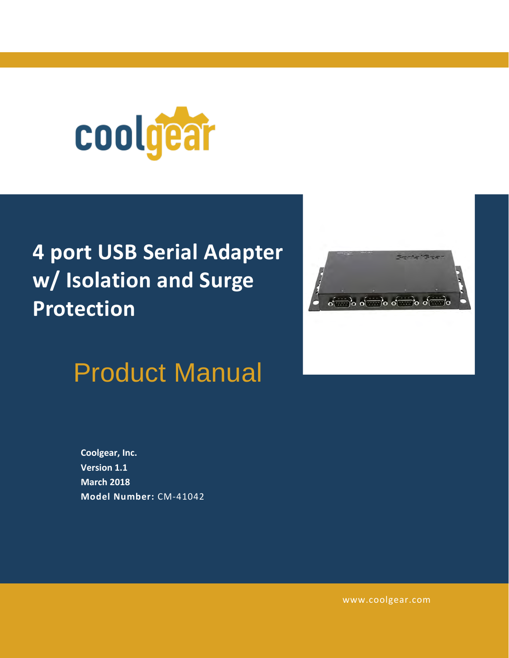

# **4 port USB Serial Adapter w/ Isolation and Surge Protection**

# Product Manual

**Coolgear, Inc. Version 1.1 March 2018 Model Number:** [CM-41042](https://www.coolgear.com/product/4-port-usb-serial-adapter-w-isolation-and-surge-protection)



[www.coolgear.com](https://www.coolgear.com/)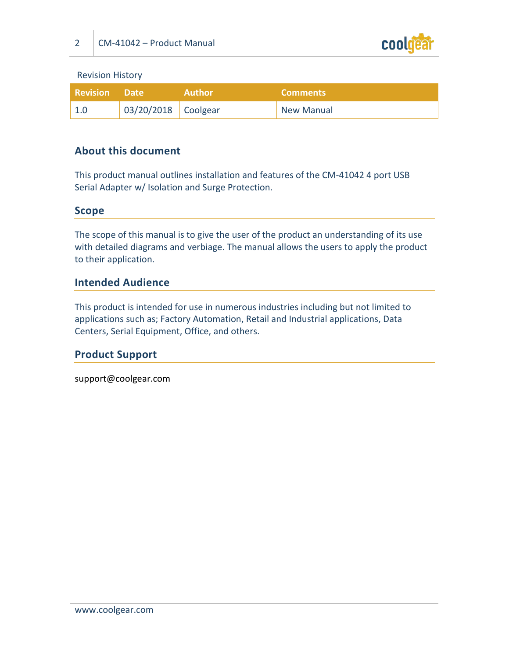

Revision History

| <b>Revision Date</b> |                     | <b>Author</b> | <b>Comments</b>   |
|----------------------|---------------------|---------------|-------------------|
|                      | 03/20/2018 Coolgear |               | <b>New Manual</b> |

#### **About this document**

This product manual outlines installation and features of the CM-41042 4 port USB Serial Adapter w/ Isolation and Surge Protection.

#### **Scope**

The scope of this manual is to give the user of the product an understanding of its use with detailed diagrams and verbiage. The manual allows the users to apply the product to their application.

#### **Intended Audience**

This product is intended for use in numerous industries including but not limited to applications such as; Factory Automation, Retail and Industrial applications, Data Centers, Serial Equipment, Office, and others.

#### **Product Support**

support@coolgear.com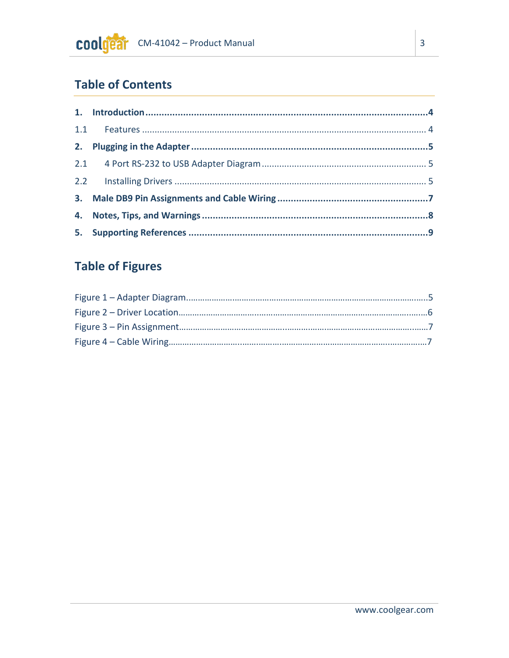# **Table of Contents**

## **Table of Figures**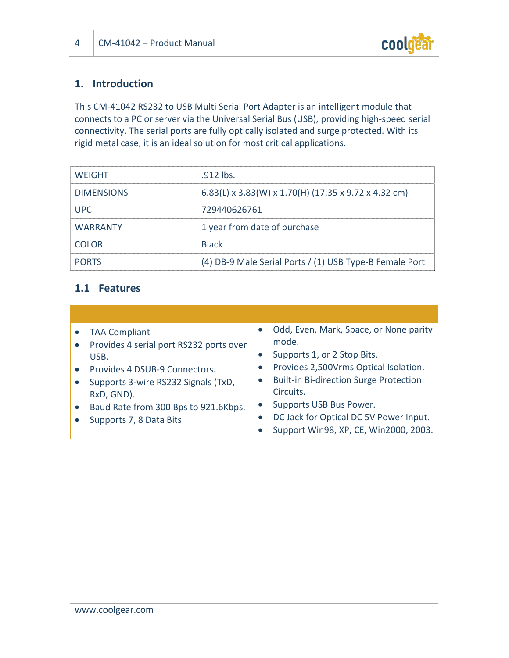

### **1. Introduction**

This CM-41042 RS232 to USB Multi Serial Port Adapter is an intelligent module that connects to a PC or server via the Universal Serial Bus (USB), providing high-speed serial connectivity. The serial ports are fully optically isolated and surge protected. With its rigid metal case, it is an ideal solution for most critical applications.

| <b>WEIGHT</b>     | .912 lbs.                                               |
|-------------------|---------------------------------------------------------|
| <b>DIMENSIONS</b> | 6.83(L) x 3.83(W) x 1.70(H) (17.35 x 9.72 x 4.32 cm)    |
| <b>UPC</b>        | 729440626761                                            |
| <b>WARRANTY</b>   | 1 year from date of purchase                            |
| <b>COLOR</b>      | <b>Black</b>                                            |
| <b>PORTS</b>      | (4) DB-9 Male Serial Ports / (1) USB Type-B Female Port |

#### **1.1 Features**

| USB. | <b>TAA Compliant</b><br>Provides 4 serial port RS232 ports over<br>Provides 4 DSUB-9 Connectors.<br>Supports 3-wire RS232 Signals (TxD,<br>RxD, GND).<br>Baud Rate from 300 Bps to 921.6Kbps.<br>Supports 7, 8 Data Bits | $\bullet$<br>$\bullet$<br>$\bullet$ | Odd, Even, Mark, Space, or None parity<br>mode.<br>Supports 1, or 2 Stop Bits.<br>Provides 2,500Vrms Optical Isolation.<br><b>Built-in Bi-direction Surge Protection</b><br>Circuits.<br>Supports USB Bus Power.<br>DC Jack for Optical DC 5V Power Input.<br>Support Win98, XP, CE, Win2000, 2003. |
|------|--------------------------------------------------------------------------------------------------------------------------------------------------------------------------------------------------------------------------|-------------------------------------|-----------------------------------------------------------------------------------------------------------------------------------------------------------------------------------------------------------------------------------------------------------------------------------------------------|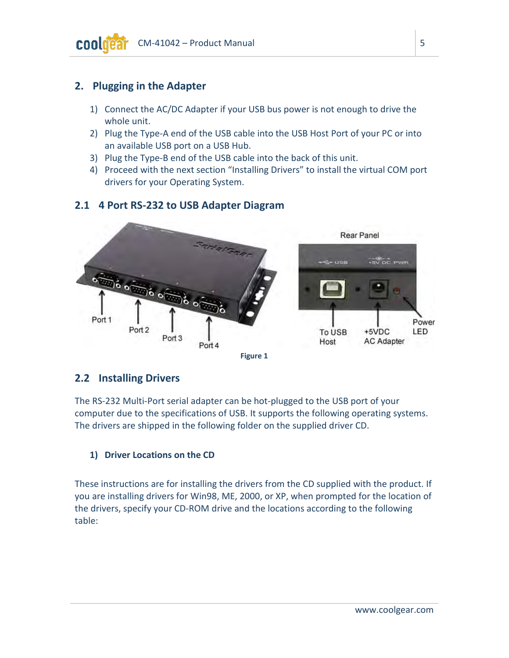#### **2. Plugging in the Adapter**

- 1) Connect the AC/DC Adapter if your USB bus power is not enough to drive the whole unit.
- 2) Plug the Type-A end of the USB cable into the USB Host Port of your PC or into an available USB port on a USB Hub.
- 3) Plug the Type-B end of the USB cable into the back of this unit.
- 4) Proceed with the next section "Installing Drivers" to install the virtual COM port drivers for your Operating System.

#### **2.1 4 Port RS-232 to USB Adapter Diagram**

<span id="page-4-0"></span>

#### **2.2 Installing Drivers**

The RS-232 Multi-Port serial adapter can be hot-plugged to the USB port of your computer due to the specifications of USB. It supports the following operating systems. The drivers are shipped in the following folder on the supplied driver CD.

#### **1) Driver Locations on the CD**

These instructions are for installing the drivers from the CD supplied with the product. If you are installing drivers for Win98, ME, 2000, or XP, when prompted for the location of the drivers, specify your CD-ROM drive and the locations according to the following table: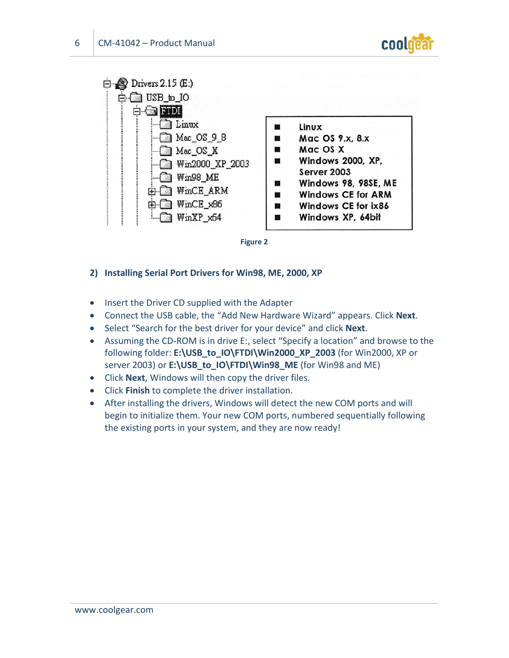

<span id="page-5-0"></span>



#### **2) Installing Serial Port Drivers for Win98, ME, 2000, XP**

- Insert the Driver CD supplied with the Adapter
- Connect the USB cable, the "Add New Hardware Wizard" appears. Click **Next**.
- Select "Search for the best driver for your device" and click **Next**.
- Assuming the CD-ROM is in drive E:, select "Specify a location" and browse to the following folder: **E:\USB\_to\_IO\FTDI\Win2000\_XP\_2003** (for Win2000, XP or server 2003) or **E:\USB\_to\_IO\FTDI\Win98\_ME** (for Win98 and ME)
- Click **Next**, Windows will then copy the driver files.
- Click **Finish** to complete the driver installation.
- After installing the drivers, Windows will detect the new COM ports and will begin to initialize them. Your new COM ports, numbered sequentially following the existing ports in your system, and they are now ready!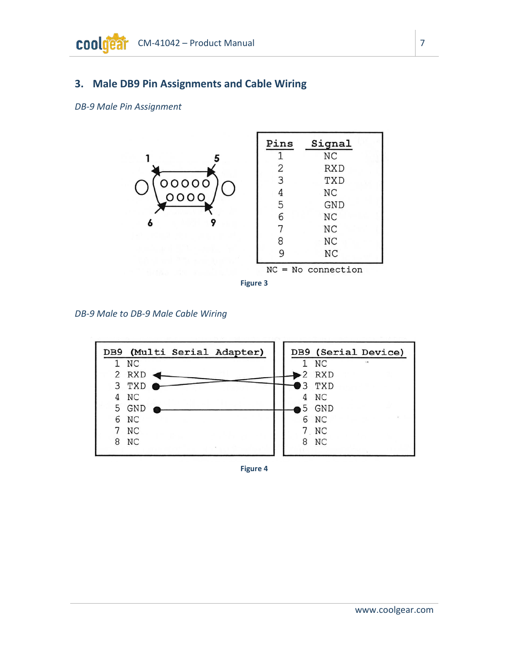### **3. Male DB9 Pin Assignments and Cable Wiring**

<span id="page-6-0"></span>*DB-9 Male Pin Assignment*



*DB-9 Male to DB-9 Male Cable Wiring*

<span id="page-6-1"></span>

**Figure 4**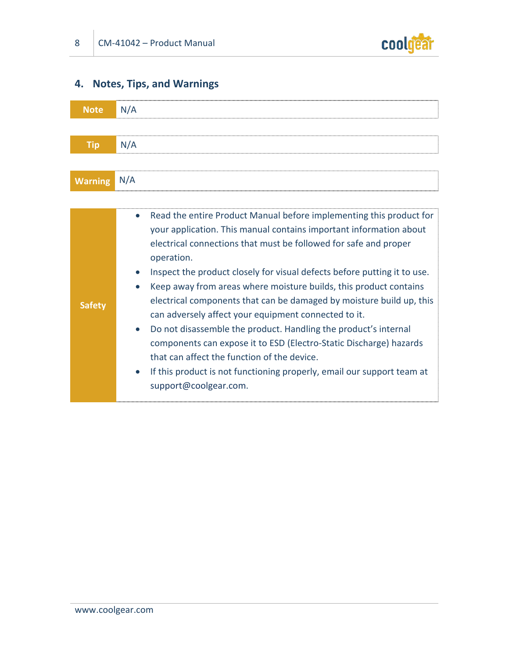

## **4. Notes, Tips, and Warnings**

| <b>Note</b>    | N/A                                                                                                                                                                                                                                                                                                                                                                                                                                                                                                                                                                                                                                                                                                                                                                                                                               |
|----------------|-----------------------------------------------------------------------------------------------------------------------------------------------------------------------------------------------------------------------------------------------------------------------------------------------------------------------------------------------------------------------------------------------------------------------------------------------------------------------------------------------------------------------------------------------------------------------------------------------------------------------------------------------------------------------------------------------------------------------------------------------------------------------------------------------------------------------------------|
|                |                                                                                                                                                                                                                                                                                                                                                                                                                                                                                                                                                                                                                                                                                                                                                                                                                                   |
| <b>Tip</b>     | N/A                                                                                                                                                                                                                                                                                                                                                                                                                                                                                                                                                                                                                                                                                                                                                                                                                               |
|                |                                                                                                                                                                                                                                                                                                                                                                                                                                                                                                                                                                                                                                                                                                                                                                                                                                   |
| <b>Warning</b> | N/A                                                                                                                                                                                                                                                                                                                                                                                                                                                                                                                                                                                                                                                                                                                                                                                                                               |
|                |                                                                                                                                                                                                                                                                                                                                                                                                                                                                                                                                                                                                                                                                                                                                                                                                                                   |
| <b>Safety</b>  | Read the entire Product Manual before implementing this product for<br>$\bullet$<br>your application. This manual contains important information about<br>electrical connections that must be followed for safe and proper<br>operation.<br>Inspect the product closely for visual defects before putting it to use.<br>Keep away from areas where moisture builds, this product contains<br>electrical components that can be damaged by moisture build up, this<br>can adversely affect your equipment connected to it.<br>Do not disassemble the product. Handling the product's internal<br>$\bullet$<br>components can expose it to ESD (Electro-Static Discharge) hazards<br>that can affect the function of the device.<br>If this product is not functioning properly, email our support team at<br>support@coolgear.com. |